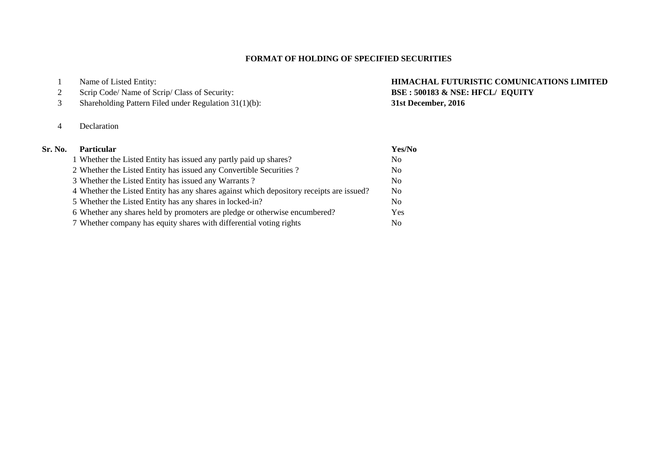## **FORMAT OF HOLDING OF SPECIFIED SECURITIES**

- 
- 
- Shareholding Pattern Filed under Regulation 31(1)(b): **31st December, 2016**
- Declaration

## **Sr. No.**

# Name of Listed Entity: **HIMACHAL FUTURISTIC COMUNICATIONS LIMITED** Scrip Code/ Name of Scrip/ Class of Security: **BSE : 500183 & NSE: HFCL/ EQUITY**

| <b>Particular</b>                                                                        | Yes/No         |
|------------------------------------------------------------------------------------------|----------------|
| 1 Whether the Listed Entity has issued any partly paid up shares?                        | N <sub>0</sub> |
| 2 Whether the Listed Entity has issued any Convertible Securities?                       | N <sub>0</sub> |
| 3 Whether the Listed Entity has issued any Warrants?                                     | N <sub>0</sub> |
| 4 Whether the Listed Entity has any shares against which depository receipts are issued? | N <sub>0</sub> |
| 5 Whether the Listed Entity has any shares in locked-in?                                 | N <sub>0</sub> |
| 6 Whether any shares held by promoters are pledge or otherwise encumbered?               | Yes            |
| 7 Whether company has equity shares with differential voting rights                      | No             |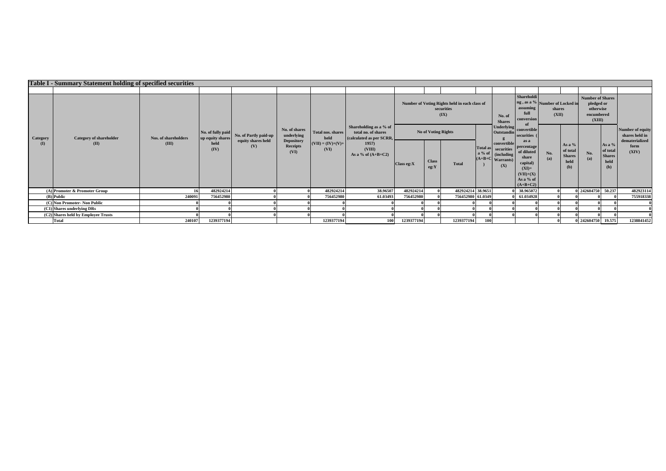|                              |                                        | <b>Table I - Summary Statement holding of specified securities</b> |                                       |                           |                                              |                             |                                                                           |                                                                     |                      |                   |     |                                                                                       |                                                                                                             |                 |                                                      |                                                                            |                                                    |                                    |
|------------------------------|----------------------------------------|--------------------------------------------------------------------|---------------------------------------|---------------------------|----------------------------------------------|-----------------------------|---------------------------------------------------------------------------|---------------------------------------------------------------------|----------------------|-------------------|-----|---------------------------------------------------------------------------------------|-------------------------------------------------------------------------------------------------------------|-----------------|------------------------------------------------------|----------------------------------------------------------------------------|----------------------------------------------------|------------------------------------|
|                              |                                        |                                                                    |                                       |                           |                                              |                             |                                                                           |                                                                     |                      |                   |     |                                                                                       |                                                                                                             |                 |                                                      |                                                                            |                                                    |                                    |
| Category<br>(I)              | <b>Category of shareholder</b><br>(II) |                                                                    |                                       |                           |                                              |                             |                                                                           | Number of Voting Rights held in each class of<br>securities<br>(IX) |                      |                   |     | No. of<br><b>Shares</b>                                                               | Shareholdi<br>ng, as a % Number of Locked in<br>assuming<br>full<br>conversion<br>-of                       | shares<br>(XII) |                                                      | <b>Number of Shares</b><br>pledged or<br>otherwise<br>encumbered<br>(XIII) |                                                    |                                    |
|                              |                                        | Nos. of shareholders<br>(III)                                      | No. of fully paid<br>up equity shares | No. of Partly paid-up     | No. of shares<br>underlying                  | Total nos. shares<br>held   | Shareholding as a % of<br>total no. of shares<br>(calculated as per SCRR, | <b>No of Voting Rights</b>                                          |                      |                   |     | <b>Underlying</b><br><b>Outstandin</b>                                                | convertible<br>securities (                                                                                 |                 |                                                      |                                                                            |                                                    | Number of equity<br>shares held in |
|                              |                                        |                                                                    | held<br>(IV)                          | equity shares held<br>(V) | <b>Depository</b><br><b>Receipts</b><br>(VI) | $(VII) = (IV)+(V)+$<br>(VI) | 1957<br>(VIII)<br>As a % of $(A+B+C2)$                                    | Class eg: X                                                         | <b>Class</b><br>eg:Y | <b>Total</b>      |     | convertible<br>Total as securities<br>a % of (including)<br>$(A+B+C$ Warrants)<br>(X) | as a<br>percentage<br>of diluted<br>share<br>capital)<br>$(XI) =$<br>$(VII)+(X)$<br>As a % of<br>$(A+B+C2)$ | No.<br>(a)      | As a $%$<br>of total<br><b>Shares</b><br>held<br>(b) | No.<br>(a)                                                                 | As a %<br>of total<br><b>Shares</b><br>held<br>(b) | dematerialized<br>form<br>(XIV)    |
|                              | (A) Promoter & Promoter Group          |                                                                    | 482924214                             |                           |                                              | 482924214                   | 38.96507                                                                  | 482924214                                                           | $\theta$             | 482924214 38.9651 |     |                                                                                       | 0 38.965072                                                                                                 |                 |                                                      | 0 242604750 50.237                                                         |                                                    | 482923114                          |
|                              | (B) Public                             | 240091                                                             | 756452980                             |                           |                                              | 756452980                   | 61.03493                                                                  | 756452980                                                           |                      | 756452980 61.0349 |     |                                                                                       | 0 61.034928                                                                                                 |                 |                                                      |                                                                            |                                                    | 755918338                          |
| (C) Non Promoter- Non Public |                                        |                                                                    |                                       |                           |                                              |                             |                                                                           |                                                                     |                      |                   |     |                                                                                       |                                                                                                             |                 |                                                      |                                                                            |                                                    |                                    |
|                              | (C1) Shares underlying DRs             |                                                                    |                                       |                           |                                              |                             |                                                                           |                                                                     |                      |                   |     |                                                                                       |                                                                                                             |                 |                                                      |                                                                            |                                                    |                                    |
|                              | (C2) Shares held by Employee Trusts    |                                                                    |                                       |                           |                                              |                             |                                                                           |                                                                     |                      |                   |     |                                                                                       |                                                                                                             |                 |                                                      |                                                                            |                                                    |                                    |
|                              | <b>Total</b>                           | 240107                                                             | 1239377194                            |                           |                                              | 1239377194                  | 100                                                                       | 1239377194                                                          |                      | 1239377194        | 100 |                                                                                       |                                                                                                             |                 |                                                      | 0 242604750 19.575                                                         |                                                    | 1238841452                         |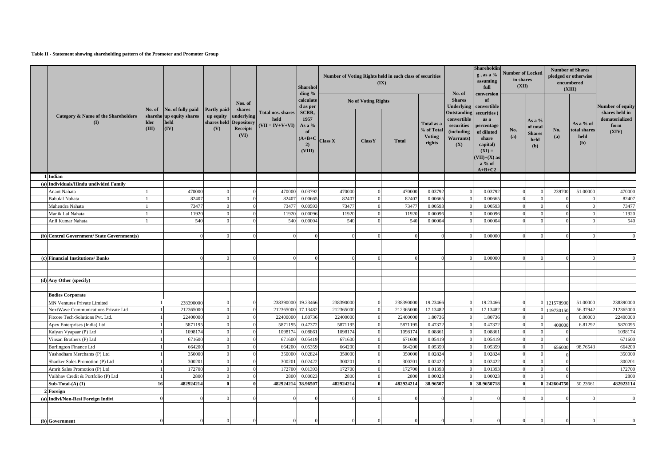#### **Table II - Statement showing shareholding pattern of the Promoter and Promoter Group**

|                                                          |                                                  |                                          |                                  |                                                                 |                                                       | Sharehol<br>ding %                                         |                   |                            | Number of Voting Rights held in each class of securities<br>(IX) |                                                     | No. of                                                                             | Shareholdin<br>$g$ , as a $%$<br>assuming<br>full<br>conversion                                                            | <b>Number of Locked</b><br>in shares<br>(XII) |                                                    | <b>Number of Shares</b><br>pledged or otherwise<br>encumbered<br>(XIII) |                                          |                                                   |
|----------------------------------------------------------|--------------------------------------------------|------------------------------------------|----------------------------------|-----------------------------------------------------------------|-------------------------------------------------------|------------------------------------------------------------|-------------------|----------------------------|------------------------------------------------------------------|-----------------------------------------------------|------------------------------------------------------------------------------------|----------------------------------------------------------------------------------------------------------------------------|-----------------------------------------------|----------------------------------------------------|-------------------------------------------------------------------------|------------------------------------------|---------------------------------------------------|
|                                                          |                                                  |                                          |                                  | Nos. of<br>shares                                               |                                                       | calculate<br>d as per                                      |                   | <b>No of Voting Rights</b> |                                                                  |                                                     | <b>Shares</b><br><b>Underlying</b>                                                 | of<br>convertible                                                                                                          |                                               |                                                    |                                                                         |                                          | Number of equity                                  |
| Category & Name of the Shareholders<br>$($ $\Gamma$      | No. of No. of fully paid<br><b>Ider</b><br>(III) | shareho up equity shares<br>held<br>(IV) | Partly paid-<br>up equity<br>(V) | underlying<br>shares held Depository<br><b>Receipts</b><br>(VI) | <b>Total nos. shares</b><br>held<br>$(VII = IV+V+VI)$ | SCRR,<br>1957<br>As a %<br>of<br>$(A+B+C)$<br>2)<br>(VIII) | <b>Class X</b>    | ClassY                     | <b>Total</b>                                                     | Total as a<br>% of Total<br><b>Voting</b><br>rights | Outstanding<br>convertible<br>securities<br>(including<br><b>Warrants</b> )<br>(X) | securities (<br>as a<br>percentage<br>of diluted<br>share<br>capital)<br>$(XI) =$<br>$VII)+(X)$ as<br>$a\%$ of<br>$A+B+C2$ | No.<br>(a)                                    | As a %<br>of total<br><b>Shares</b><br>held<br>(b) | No.<br>(a)                                                              | As a % of<br>total shares<br>held<br>(b) | shares held in<br>dematerialized<br>form<br>(XIV) |
| 1 Indian                                                 |                                                  |                                          |                                  |                                                                 |                                                       |                                                            |                   |                            |                                                                  |                                                     |                                                                                    |                                                                                                                            |                                               |                                                    |                                                                         |                                          |                                                   |
| (a) Individuals/Hindu undivided Family                   |                                                  |                                          |                                  |                                                                 |                                                       |                                                            |                   |                            |                                                                  |                                                     |                                                                                    |                                                                                                                            |                                               |                                                    |                                                                         |                                          |                                                   |
| Anant Nahata<br><b>Babulal Nahata</b>                    |                                                  | 470000<br>82407                          |                                  |                                                                 | 470000<br>82407                                       | 0.03792<br>0.00665                                         | 470000<br>82407   |                            | 470000<br>82407                                                  | 0.03792<br>0.00665                                  |                                                                                    | 0.03792<br>0.00665                                                                                                         |                                               |                                                    | 239700                                                                  | 51.00000                                 | 470000<br>82407                                   |
| Mahendra Nahata                                          |                                                  | 73477                                    |                                  |                                                                 | 7347                                                  | 0.00593                                                    | 73477             |                            | 73477                                                            | 0.00593                                             |                                                                                    | 0.00593                                                                                                                    |                                               |                                                    |                                                                         |                                          | 73477                                             |
| Manik Lal Nahata                                         |                                                  | 11920                                    |                                  |                                                                 | 11920                                                 | 0.00096                                                    | 11920             |                            | 11920                                                            | 0.00096                                             |                                                                                    | 0.00096                                                                                                                    |                                               |                                                    |                                                                         |                                          | 11920                                             |
| Anil Kumar Nahata                                        |                                                  | 540                                      |                                  |                                                                 | 540                                                   | 0.00004                                                    | 540               |                            | 540                                                              | 0.00004                                             |                                                                                    | 0.00004                                                                                                                    |                                               |                                                    |                                                                         |                                          | 540                                               |
|                                                          |                                                  |                                          |                                  |                                                                 |                                                       |                                                            |                   |                            |                                                                  |                                                     |                                                                                    |                                                                                                                            |                                               |                                                    |                                                                         |                                          |                                                   |
| (b) Central Government/ State Government(s)              |                                                  |                                          |                                  |                                                                 |                                                       |                                                            |                   |                            | $\Omega$                                                         |                                                     |                                                                                    | 0.00000                                                                                                                    |                                               |                                                    |                                                                         |                                          |                                                   |
|                                                          |                                                  |                                          |                                  |                                                                 |                                                       |                                                            |                   |                            |                                                                  |                                                     |                                                                                    |                                                                                                                            |                                               |                                                    |                                                                         |                                          |                                                   |
|                                                          |                                                  |                                          |                                  |                                                                 |                                                       |                                                            |                   |                            |                                                                  |                                                     |                                                                                    |                                                                                                                            |                                               |                                                    |                                                                         |                                          |                                                   |
| (c) Financial Institutions/Banks                         |                                                  |                                          |                                  |                                                                 |                                                       |                                                            |                   |                            |                                                                  |                                                     |                                                                                    | 0.0000                                                                                                                     |                                               |                                                    |                                                                         |                                          |                                                   |
|                                                          |                                                  |                                          |                                  |                                                                 |                                                       |                                                            |                   |                            |                                                                  |                                                     |                                                                                    |                                                                                                                            |                                               |                                                    |                                                                         |                                          |                                                   |
|                                                          |                                                  |                                          |                                  |                                                                 |                                                       |                                                            |                   |                            |                                                                  |                                                     |                                                                                    |                                                                                                                            |                                               |                                                    |                                                                         |                                          |                                                   |
| (d) Any Other (specify)                                  |                                                  |                                          |                                  |                                                                 |                                                       |                                                            |                   |                            |                                                                  |                                                     |                                                                                    |                                                                                                                            |                                               |                                                    |                                                                         |                                          |                                                   |
|                                                          |                                                  |                                          |                                  |                                                                 |                                                       |                                                            |                   |                            |                                                                  |                                                     |                                                                                    |                                                                                                                            |                                               |                                                    |                                                                         |                                          |                                                   |
| <b>Bodies Corporate</b>                                  |                                                  |                                          |                                  |                                                                 |                                                       |                                                            |                   |                            |                                                                  |                                                     |                                                                                    |                                                                                                                            |                                               |                                                    |                                                                         |                                          |                                                   |
| <b>MN Ventures Private Limited</b>                       |                                                  | 238390000                                |                                  |                                                                 | 238390000                                             | 19.23466                                                   | 238390000         |                            | 238390000                                                        | 19.23466                                            |                                                                                    | 19.23466                                                                                                                   |                                               |                                                    | 121578900                                                               | 51.00000                                 | 238390000                                         |
| NextWave Communications Private Ltd                      |                                                  | 212365000                                |                                  |                                                                 | 21236500                                              | 17.13482                                                   | 212365000         |                            | 212365000                                                        | 17.13482                                            |                                                                                    | 17.13482                                                                                                                   |                                               |                                                    | 119730150                                                               | 56.37942                                 | 212365000                                         |
| Fitcore Tech-Solutions Pvt. Ltd.                         |                                                  | 22400000                                 |                                  |                                                                 | 22400000                                              | 1.80736                                                    | 22400000          |                            | 22400000                                                         | 1.80736                                             |                                                                                    | 1.80736                                                                                                                    |                                               |                                                    |                                                                         | 0.00000                                  | 22400000                                          |
| Apex Enterprises (India) Ltd                             |                                                  | 587119                                   |                                  |                                                                 | 587119                                                | 0.4737                                                     | 587119            |                            | 5871195                                                          | 0.47372                                             |                                                                                    | 0.47372                                                                                                                    |                                               |                                                    | 400000                                                                  | 6.81292                                  | 5870095                                           |
| Kalyan Vyapaar (P) Ltd                                   |                                                  | 109817<br>671600                         |                                  |                                                                 | 109817<br>671600                                      | 0.08861<br>0.05419                                         | 1098174<br>671600 |                            | 1098174<br>671600                                                | 0.08861<br>0.05419                                  |                                                                                    | 0.08861<br>0.05419                                                                                                         |                                               |                                                    |                                                                         |                                          | 1098174<br>671600                                 |
| Vinsan Brothers (P) Ltd<br><b>Burlington Finance Ltd</b> |                                                  | 664200                                   |                                  |                                                                 | 664200                                                | 0.0535                                                     | 664200            |                            | 664200                                                           | 0.05359                                             |                                                                                    | 0.05359                                                                                                                    |                                               |                                                    |                                                                         | 98.7654                                  | 664200                                            |
| Yashodham Merchants (P) Ltd                              |                                                  | 350000                                   |                                  |                                                                 | 350000                                                | 0.02824                                                    | 350000            |                            | 350000                                                           | 0.02824                                             |                                                                                    | 0.02824                                                                                                                    |                                               |                                                    | 656000                                                                  |                                          | 350000                                            |
| Shanker Sales Promotion (P) Ltd                          |                                                  | 300201                                   |                                  |                                                                 | 30020                                                 | 0.02422                                                    | 300201            |                            | 300201                                                           | 0.02422                                             |                                                                                    | 0.02422                                                                                                                    |                                               |                                                    |                                                                         |                                          | 300201                                            |
| Amrit Sales Promotion (P) Ltd                            |                                                  | 172700                                   |                                  |                                                                 | 172700                                                | 0.01393                                                    | 172700            |                            | 172700                                                           | 0.01393                                             |                                                                                    | 0.01393                                                                                                                    |                                               |                                                    |                                                                         |                                          | 172700                                            |
| Vaibhav Credit & Portfolio (P) Ltd                       |                                                  | 2800                                     | $\Omega$                         |                                                                 | 2800                                                  | 0.00023                                                    | 2800              |                            | 2800                                                             | 0.00023                                             |                                                                                    | 0.00023                                                                                                                    | $\Omega$                                      |                                                    |                                                                         |                                          | 2800                                              |
| Sub-Total- $(A)$ $(1)$                                   | 16                                               | 482924214                                | $\theta$                         | $\theta$                                                        | 482924214                                             | 38.96507                                                   | 482924214         |                            | 482924214                                                        | 38.96507                                            |                                                                                    | 38.9650718                                                                                                                 |                                               |                                                    | 0 242604750                                                             | 50.23661                                 | 482923114                                         |
| Foreign                                                  |                                                  |                                          |                                  |                                                                 |                                                       |                                                            |                   |                            |                                                                  |                                                     |                                                                                    |                                                                                                                            |                                               |                                                    |                                                                         |                                          |                                                   |
| (a) Indivi/Non-Resi Foreign Indivi                       | $\Omega$                                         |                                          |                                  |                                                                 |                                                       |                                                            |                   |                            |                                                                  |                                                     |                                                                                    |                                                                                                                            |                                               |                                                    |                                                                         |                                          |                                                   |
|                                                          |                                                  |                                          |                                  |                                                                 |                                                       |                                                            |                   |                            |                                                                  |                                                     |                                                                                    |                                                                                                                            |                                               |                                                    |                                                                         |                                          |                                                   |
|                                                          |                                                  |                                          |                                  |                                                                 |                                                       |                                                            |                   |                            |                                                                  |                                                     |                                                                                    |                                                                                                                            |                                               |                                                    |                                                                         |                                          |                                                   |
| (b) Government                                           |                                                  |                                          |                                  |                                                                 |                                                       |                                                            |                   |                            |                                                                  |                                                     |                                                                                    |                                                                                                                            |                                               |                                                    |                                                                         |                                          |                                                   |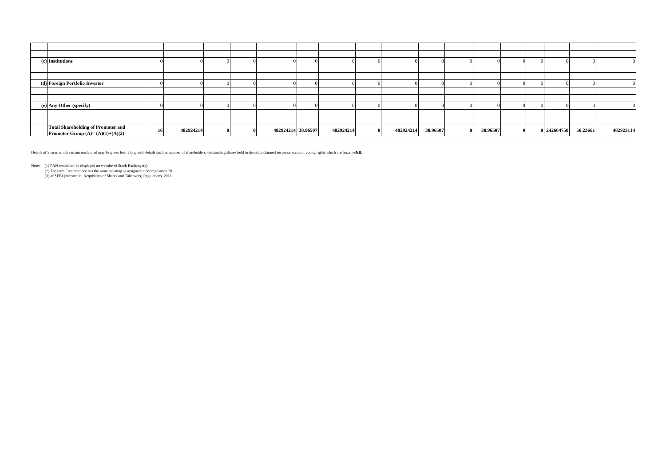| (c) Institutions                                                                |    |           |  |                    |           |           |          |          |   |             |          |           |
|---------------------------------------------------------------------------------|----|-----------|--|--------------------|-----------|-----------|----------|----------|---|-------------|----------|-----------|
|                                                                                 |    |           |  |                    |           |           |          |          |   |             |          |           |
|                                                                                 |    |           |  |                    |           |           |          |          |   |             |          |           |
| (d) Foreign Portfolio Investor                                                  |    |           |  |                    |           |           |          |          |   |             |          |           |
|                                                                                 |    |           |  |                    |           |           |          |          |   |             |          |           |
|                                                                                 |    |           |  |                    |           |           |          |          |   |             |          |           |
| (e) Any Other (specify)                                                         |    |           |  |                    |           |           |          |          |   |             |          |           |
|                                                                                 |    |           |  |                    |           |           |          |          |   |             |          |           |
|                                                                                 |    |           |  |                    |           |           |          |          |   |             |          |           |
| <b>Total Shareholding of Promoter and</b><br>Promoter Group $(A)=(A)(1)+(A)(2)$ | 16 | 482924214 |  | 482924214 38.96507 | 482924214 | 482924214 | 38.96507 | 38.96507 | 0 | 0 242604750 | 50.23661 | 482923114 |

Details of Shares which remain unclaimed may be given hear along with details such as number of shareholders, outstanding shares held in demat/unclaimed suspense account, voting rights which are frozen ette.

Note: (1) PAN would not be displayed on website of Stock Exchange(s).<br>(2) The term Encumbrance has the same meaning as assigned under regulation 28<br>(3) of SEBI (Substantial Acquisition of Shares and Takeovers) Regulations,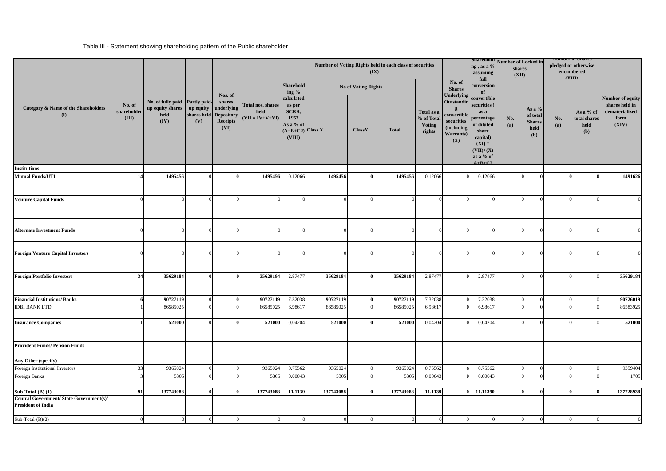### Table III - Statement showing shareholding pattern of the Public shareholder

|                                                                       |                                |                                                                    |                  |                                                                           |                                                |                                                                                    | Number of Voting Rights held in each class of securities | (IX)                |              | ng , as a %<br>assuming<br>full                     | Shareholdi Number of Locked in<br>shares<br>(XII)                                                       |                                                                                                                                              | <b>NUMBER OF SHAFTS</b><br>pledged or otherwise<br>encumbered<br>(TIT) |                                                      |            |                                          |                                                                       |
|-----------------------------------------------------------------------|--------------------------------|--------------------------------------------------------------------|------------------|---------------------------------------------------------------------------|------------------------------------------------|------------------------------------------------------------------------------------|----------------------------------------------------------|---------------------|--------------|-----------------------------------------------------|---------------------------------------------------------------------------------------------------------|----------------------------------------------------------------------------------------------------------------------------------------------|------------------------------------------------------------------------|------------------------------------------------------|------------|------------------------------------------|-----------------------------------------------------------------------|
|                                                                       |                                |                                                                    |                  | Nos. of                                                                   |                                                | Sharehold<br>ing $%$                                                               |                                                          | No of Voting Rights |              |                                                     | No. of<br><b>Shares</b>                                                                                 | conversion<br>of                                                                                                                             |                                                                        |                                                      |            |                                          |                                                                       |
| Category & Name of the Shareholders<br>$\mathbf{I}$                   | No. of<br>shareholder<br>(III) | No. of fully paid Partly paid-<br>up equity shares<br>held<br>(IV) | up equity<br>(V) | shares<br>underlying<br>shares held Depository<br><b>Receipts</b><br>(VI) | Total nos. shares<br>held<br>$(VII = IV+V+VI)$ | calculated<br>as per<br>SCRR,<br>1957<br>As a % of<br>$(A+B+C2)$ Class X<br>(VIII) |                                                          | ClassY              | <b>Total</b> | Total as a<br>% of Total<br><b>Voting</b><br>rights | Underlying<br>Outstandin<br>$\mathbf{g}$<br>convertible<br>securities<br>(including<br>Warrants)<br>(X) | convertible<br>securities (<br>as a<br>oercentage<br>of diluted<br>share<br>capital)<br>$(XI) =$<br>$(VII)+(X)$<br>as a % of<br>$A + B + C2$ | No.<br>(a)                                                             | As a $%$<br>of total<br><b>Shares</b><br>held<br>(b) | No.<br>(a) | As a % of<br>total shares<br>held<br>(b) | Number of equity<br>shares held in<br>dematerialized<br>form<br>(XIV) |
| <b>Institutions</b>                                                   |                                |                                                                    |                  |                                                                           |                                                |                                                                                    |                                                          |                     |              |                                                     |                                                                                                         |                                                                                                                                              |                                                                        |                                                      |            |                                          |                                                                       |
| <b>Mutual Funds/UTI</b>                                               | 14                             | 1495456                                                            |                  | $\mathbf{0}$                                                              | 1495456                                        | 0.12066                                                                            | 1495456                                                  | Λ                   | 1495456      | 0.12066                                             |                                                                                                         | 0.12066                                                                                                                                      | $\mathbf{0}$                                                           |                                                      | $\theta$   |                                          | 1491626                                                               |
| <b>Venture Capital Funds</b>                                          | $\overline{0}$                 | $\Omega$                                                           |                  |                                                                           |                                                | $^{\circ}$                                                                         |                                                          |                     |              |                                                     |                                                                                                         |                                                                                                                                              | $\Omega$                                                               |                                                      | $\Omega$   |                                          |                                                                       |
|                                                                       |                                |                                                                    |                  |                                                                           |                                                |                                                                                    |                                                          |                     |              |                                                     |                                                                                                         |                                                                                                                                              |                                                                        |                                                      |            |                                          |                                                                       |
| <b>Alternate Investment Funds</b>                                     | $\overline{0}$                 | $\Omega$                                                           |                  |                                                                           |                                                | $\Omega$                                                                           |                                                          | $\Omega$            |              |                                                     |                                                                                                         |                                                                                                                                              | $\Omega$                                                               |                                                      | $\Omega$   |                                          |                                                                       |
| <b>Foreign Venture Capital Investors</b>                              | $\Omega$                       | $^{\circ}$                                                         |                  |                                                                           |                                                |                                                                                    |                                                          |                     |              |                                                     |                                                                                                         |                                                                                                                                              |                                                                        |                                                      | $\Omega$   |                                          |                                                                       |
| <b>Foreign Portfolio Investors</b>                                    | 34                             | 35629184                                                           |                  |                                                                           | 35629184                                       | 2.87477                                                                            | 35629184                                                 |                     | 35629184     | 2.87477                                             |                                                                                                         | 2.87477                                                                                                                                      |                                                                        | $\Omega$                                             |            |                                          | 35629184                                                              |
| <b>Financial Institutions/Banks</b>                                   |                                | 90727119                                                           |                  |                                                                           | 90727119                                       | 7.32038                                                                            | 90727119                                                 |                     | 90727119     | 7.32038                                             |                                                                                                         | 7.32038                                                                                                                                      |                                                                        |                                                      |            |                                          | 90726019                                                              |
| <b>IDBI BANK LTD.</b>                                                 |                                | 86585025                                                           |                  |                                                                           | 86585025                                       | 6.9861                                                                             | 86585025                                                 |                     | 86585025     | 6.98617                                             |                                                                                                         | 6.9861                                                                                                                                       |                                                                        |                                                      |            |                                          | 86583925                                                              |
| <b>Insurance Companies</b>                                            |                                | 521000                                                             |                  | $\mathbf{0}$                                                              | 521000                                         | 0.04204                                                                            | 521000                                                   | 0                   | 521000       | 0.04204                                             | $\theta$                                                                                                | 0.04204                                                                                                                                      | $\Omega$                                                               | $\Omega$                                             | $\Omega$   |                                          | 521000                                                                |
| <b>Provident Funds/ Pension Funds</b>                                 |                                |                                                                    |                  |                                                                           |                                                |                                                                                    |                                                          |                     |              |                                                     |                                                                                                         |                                                                                                                                              |                                                                        |                                                      |            |                                          |                                                                       |
| Any Other (specify)                                                   |                                |                                                                    |                  |                                                                           |                                                |                                                                                    |                                                          |                     |              |                                                     |                                                                                                         |                                                                                                                                              |                                                                        |                                                      |            |                                          |                                                                       |
| Foreign Institutional Investors                                       | 33                             | 9365024                                                            |                  |                                                                           | 9365024                                        | 0.75562                                                                            | 9365024                                                  |                     | 9365024      | 0.75562                                             |                                                                                                         | 0.75562                                                                                                                                      |                                                                        |                                                      | $\Omega$   |                                          | 9359404                                                               |
| Foreign Banks                                                         |                                | 5305                                                               |                  |                                                                           | 5305                                           | 0.00043                                                                            | 5305                                                     |                     | 5305         | 0.00043                                             |                                                                                                         | 0.00043                                                                                                                                      | $^{\circ}$                                                             |                                                      | $\Omega$   |                                          | 1705                                                                  |
| $Sub-Total-(B) (1)$                                                   | 91                             | 137743088                                                          | $\mathbf{0}$     | $\mathbf{0}$                                                              | 137743088                                      | 11.1139                                                                            | 137743088                                                | $\theta$            | 137743088    | 11.1139                                             | $\Omega$                                                                                                | 11.11390                                                                                                                                     | $\theta$                                                               | $\mathbf{0}$                                         | $\bf{0}$   | $\bf{0}$                                 | 137728938                                                             |
| Central Government/ State Government(s)/<br><b>President of India</b> |                                |                                                                    |                  |                                                                           |                                                |                                                                                    |                                                          |                     |              |                                                     |                                                                                                         |                                                                                                                                              |                                                                        |                                                      |            |                                          |                                                                       |
| $Sub-Total-(B)(2)$                                                    |                                |                                                                    |                  |                                                                           |                                                |                                                                                    |                                                          |                     |              |                                                     |                                                                                                         |                                                                                                                                              |                                                                        |                                                      |            |                                          |                                                                       |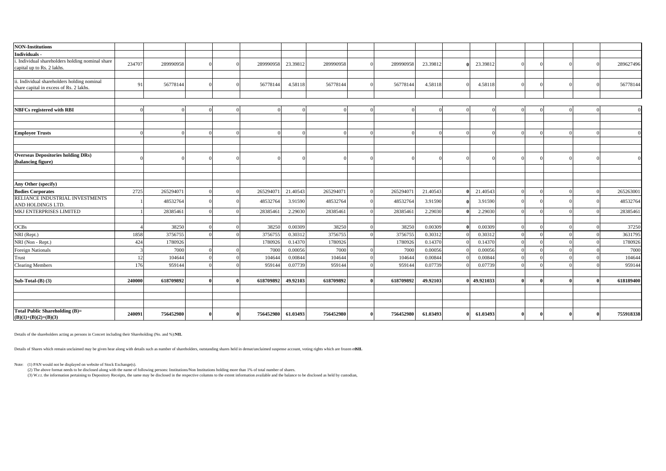| <b>NON-Institutions</b>                                  |        |           |  |           |          |           |              |           |          |           |          |              |           |
|----------------------------------------------------------|--------|-----------|--|-----------|----------|-----------|--------------|-----------|----------|-----------|----------|--------------|-----------|
| Individuals -                                            |        |           |  |           |          |           |              |           |          |           |          |              |           |
| i. Individual shareholders holding nominal share         | 234707 | 289990958 |  | 289990958 | 23.39812 | 289990958 | $\Omega$     | 289990958 | 23.39812 | 23.39812  | $\Omega$ |              | 289627496 |
| capital up to Rs. 2 lakhs.                               |        |           |  |           |          |           |              |           |          |           |          |              |           |
| ii. Individual shareholders holding nominal              |        |           |  |           |          |           |              |           |          |           |          |              |           |
| share capital in excess of Rs. 2 lakhs.                  | 91     | 56778144  |  | 56778144  | 4.58118  | 56778144  |              | 56778144  | 4.58118  | 4.58118   |          |              | 56778144  |
|                                                          |        |           |  |           |          |           |              |           |          |           |          |              |           |
|                                                          |        |           |  |           |          |           |              |           |          |           |          |              |           |
| <b>NBFCs registered with RBI</b>                         |        |           |  | $\Omega$  | $\Omega$ |           | $\Omega$     | $\Omega$  |          |           |          | -6           | $\Omega$  |
|                                                          |        |           |  |           |          |           |              |           |          |           |          |              |           |
|                                                          |        |           |  |           |          |           |              |           |          |           |          |              |           |
| <b>Employee Trusts</b>                                   |        |           |  |           |          |           |              |           |          |           |          |              | $\Omega$  |
|                                                          |        |           |  |           |          |           |              |           |          |           |          |              |           |
| <b>Overseas Depositories holding DRs)</b>                |        |           |  |           |          |           |              |           |          |           |          |              |           |
| (balancing figure)                                       |        |           |  |           |          |           |              |           |          |           |          |              |           |
|                                                          |        |           |  |           |          |           |              |           |          |           |          |              |           |
|                                                          |        |           |  |           |          |           |              |           |          |           |          |              |           |
| Any Other (specify)                                      |        |           |  |           |          |           |              |           |          |           |          |              |           |
| <b>Bodies Corporates</b>                                 | 2725   | 265294071 |  | 265294071 | 21.40543 | 265294071 |              | 265294071 | 21.40543 | 21.40543  |          |              | 265263001 |
| RELIANCE INDUSTRIAL INVESTMENTS<br>AND HOLDINGS LTD.     |        | 48532764  |  | 48532764  | 3.91590  | 48532764  |              | 48532764  | 3.91590  | 3.91590   | $\Omega$ |              | 48532764  |
| MKJ ENTERPRISES LIMITED                                  |        | 28385461  |  | 28385461  | 2.29030  | 28385461  |              | 28385461  | 2.29030  | 2.29030   |          |              | 28385461  |
|                                                          |        |           |  |           |          |           |              |           |          |           |          |              |           |
| OCBs                                                     |        | 38250     |  | 38250     | 0.00309  | 38250     |              | 38250     | 0.00309  | 0.00309   |          |              | 37250     |
| NRI (Rept.)                                              | 1858   | 3756755   |  | 3756755   | 0.30312  | 3756755   |              | 3756755   | 0.30312  | 0.30312   | $\Omega$ |              | 3631795   |
| NRI (Non - Rept.)                                        | 424    | 1780926   |  | 1780926   | 0.14370  | 1780926   |              | 1780926   | 0.14370  | 0.14370   |          |              | 1780926   |
| Foreign Nationals                                        |        | 7000      |  | 7000      | 0.00056  | 7000      |              | 7000      | 0.00056  | 0.00056   |          |              | 7000      |
| Trust                                                    | 12     | 104644    |  | 104644    | 0.00844  | 104644    |              | 104644    | 0.00844  | 0.00844   |          |              | 104644    |
| <b>Clearing Members</b>                                  | 176    | 959144    |  | 959144    | 0.07739  | 959144    |              | 959144    | 0.07739  | 0.07739   |          |              | 959144    |
| Sub-Total-(B) (3)                                        | 240000 | 618709892 |  | 618709892 | 49.92103 | 618709892 |              | 618709892 | 49.92103 | 49.921033 | $\theta$ | $\mathbf{f}$ | 618189400 |
|                                                          |        |           |  |           |          |           |              |           |          |           |          |              |           |
|                                                          |        |           |  |           |          |           |              |           |          |           |          |              |           |
|                                                          |        |           |  |           |          |           |              |           |          |           |          |              |           |
| Total Public Shareholding (B)=<br>$(B)(1)+(B)(2)+(B)(3)$ | 240091 | 756452980 |  | 756452980 | 61.03493 | 756452980 | $\mathbf{0}$ | 756452980 | 61.03493 | 61.03493  | $\bf{0}$ |              | 755918338 |

Details of the shareholders acting as persons in Concert including their Shareholding (No. and %): **NIL**

Details of Shares which remain unclaimed may be given hear along with details such as number of shareholders, outstanding shares held in demat/unclaimed suspense account, voting rights which are frozen ettoH.

Note: (1) PAN would not be displayed on website of Stock Exchange(s).<br>(2) The above format needs to be disclosed along with the name of following persons: Institutions/Non Institutions holding more than 1% of total number